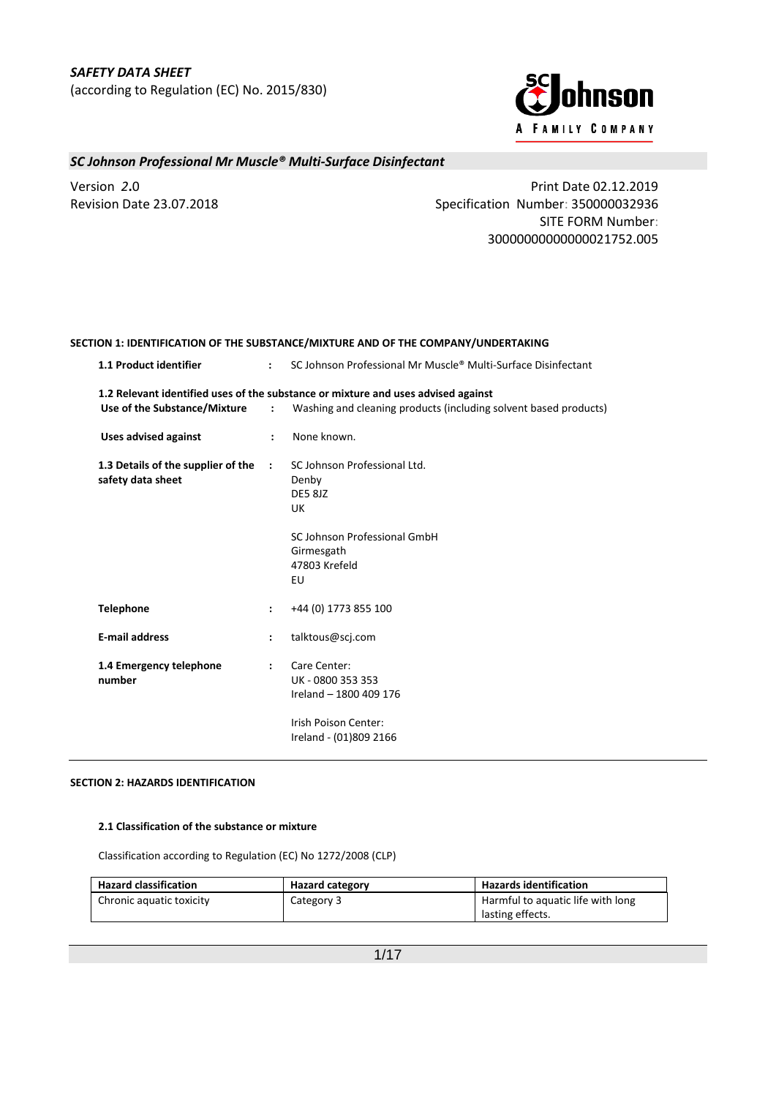

Version *2***.**0 Print Date 02.12.2019 Revision Date 23.07.2018 Specification Number: 350000032936 SITE FORM Number: 30000000000000021752.005

# **SECTION 1: IDENTIFICATION OF THE SUBSTANCE/MIXTURE AND OF THE COMPANY/UNDERTAKING 1.1 Product identifier :** SC Johnson Professional Mr Muscle® Multi-Surface Disinfectant **1.2 Relevant identified uses of the substance or mixture and uses advised against Use of the Substance/Mixture :** Washing and cleaning products (including solvent based products) **Uses advised against :** None known. **1.3 Details of the supplier of the safety data sheet :** SC Johnson Professional Ltd. Denby DE5 8JZ UK SC Johnson Professional GmbH Girmesgath 47803 Krefeld EU **Telephone :** +44 (0) 1773 855 100 **E-mail address :** talktous@scj.com **1.4 Emergency telephone number :** Care Center: UK - 0800 353 353 Ireland – 1800 409 176 Irish Poison Center: Ireland - (01)809 2166

### **SECTION 2: HAZARDS IDENTIFICATION**

#### **2.1 Classification of the substance or mixture**

Classification according to Regulation (EC) No 1272/2008 (CLP)

| <b>Hazard classification</b> | <b>Hazard category</b> | <b>Hazards identification</b>     |
|------------------------------|------------------------|-----------------------------------|
| Chronic aquatic toxicity     | Category 3             | Harmful to aquatic life with long |
|                              |                        | lasting effects.                  |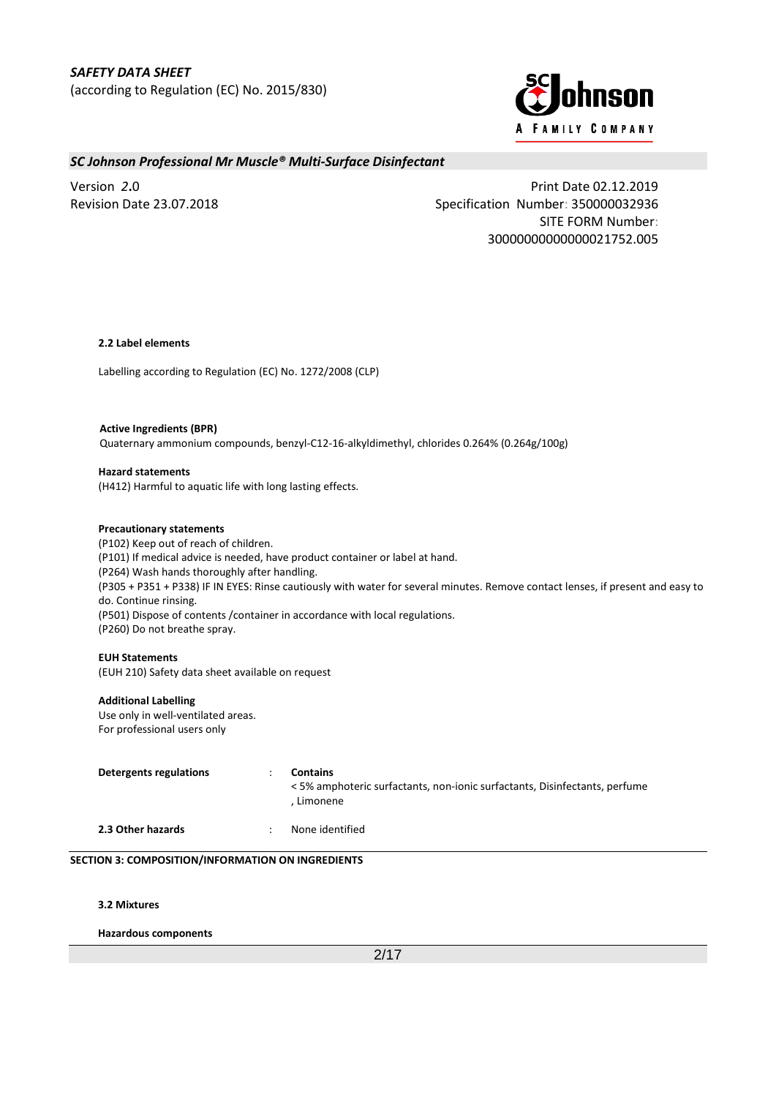

Version *2***.**0 Print Date 02.12.2019 Revision Date 23.07.2018 Specification Number: 350000032936 SITE FORM Number: 30000000000000021752.005

#### **2.2 Label elements**

Labelling according to Regulation (EC) No. 1272/2008 (CLP)

## **Active Ingredients (BPR)** Quaternary ammonium compounds, benzyl-C12-16-alkyldimethyl, chlorides 0.264% (0.264g/100g)

#### **Hazard statements**

(H412) Harmful to aquatic life with long lasting effects.

#### **Precautionary statements**

(P102) Keep out of reach of children. (P101) If medical advice is needed, have product container or label at hand. (P264) Wash hands thoroughly after handling. (P305 + P351 + P338) IF IN EYES: Rinse cautiously with water for several minutes. Remove contact lenses, if present and easy to do. Continue rinsing. (P501) Dispose of contents /container in accordance with local regulations. (P260) Do not breathe spray.

### **EUH Statements**

(EUH 210) Safety data sheet available on request

#### **Additional Labelling**

Use only in well-ventilated areas. For professional users only

| Detergents regulations | Contains<br><5% amphoteric surfactants, non-ionic surfactants, Disinfectants, perfume<br>Limonene |
|------------------------|---------------------------------------------------------------------------------------------------|
| 2.3 Other hazards      | None identified                                                                                   |

#### **SECTION 3: COMPOSITION/INFORMATION ON INGREDIENTS**

**3.2 Mixtures**

**Hazardous components**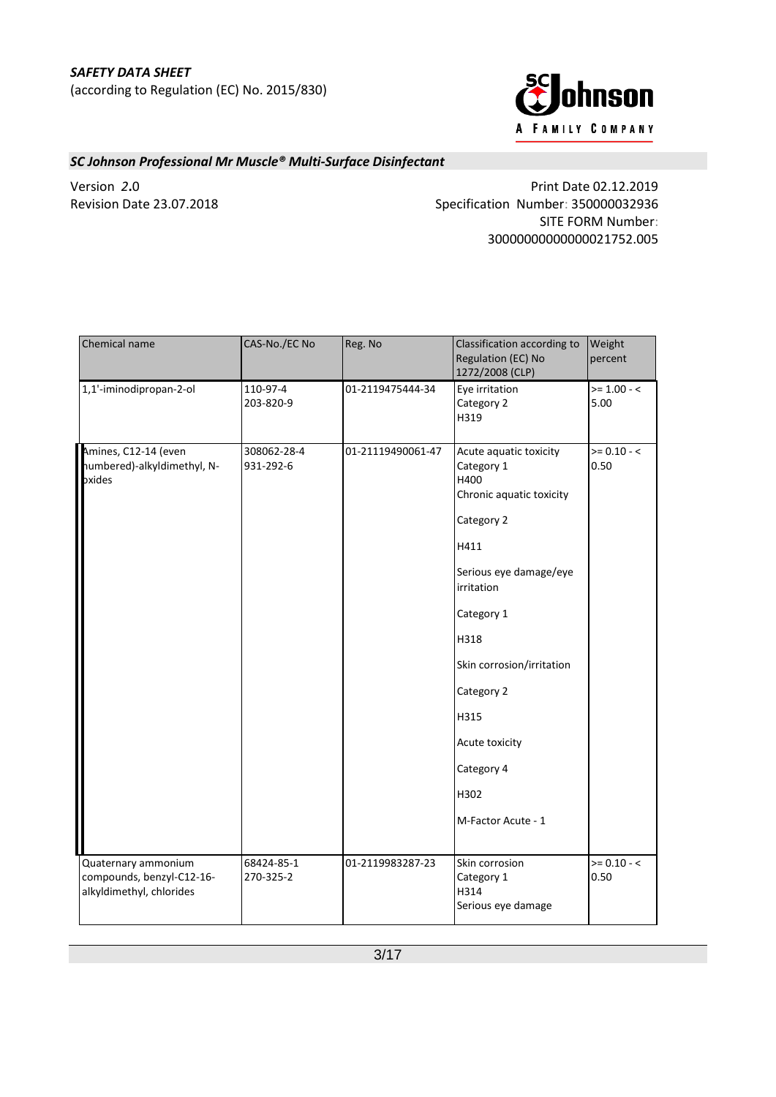

Version *2***.**0 Print Date 02.12.2019 Revision Date 23.07.2018 Specification Number: 350000032936 SITE FORM Number: 30000000000000021752.005

| Chemical name                                                                | CAS-No./EC No            | Reg. No           | Classification according to<br>Regulation (EC) No<br>1272/2008 (CLP)                                                                                                                                                                                                          | Weight<br>percent     |
|------------------------------------------------------------------------------|--------------------------|-------------------|-------------------------------------------------------------------------------------------------------------------------------------------------------------------------------------------------------------------------------------------------------------------------------|-----------------------|
| 1,1'-iminodipropan-2-ol                                                      | 110-97-4<br>203-820-9    | 01-2119475444-34  | Eye irritation<br>Category 2<br>H319                                                                                                                                                                                                                                          | $>= 1.00 - <$<br>5.00 |
| Amines, C12-14 (even<br>numbered)-alkyldimethyl, N-<br>oxides                | 308062-28-4<br>931-292-6 | 01-21119490061-47 | Acute aquatic toxicity<br>Category 1<br>H400<br>Chronic aquatic toxicity<br>Category 2<br>H411<br>Serious eye damage/eye<br>irritation<br>Category 1<br>H318<br>Skin corrosion/irritation<br>Category 2<br>H315<br>Acute toxicity<br>Category 4<br>H302<br>M-Factor Acute - 1 | $>= 0.10 - 5$<br>0.50 |
| Quaternary ammonium<br>compounds, benzyl-C12-16-<br>alkyldimethyl, chlorides | 68424-85-1<br>270-325-2  | 01-2119983287-23  | Skin corrosion<br>Category 1<br>H314<br>Serious eye damage                                                                                                                                                                                                                    | $>= 0.10 - <$<br>0.50 |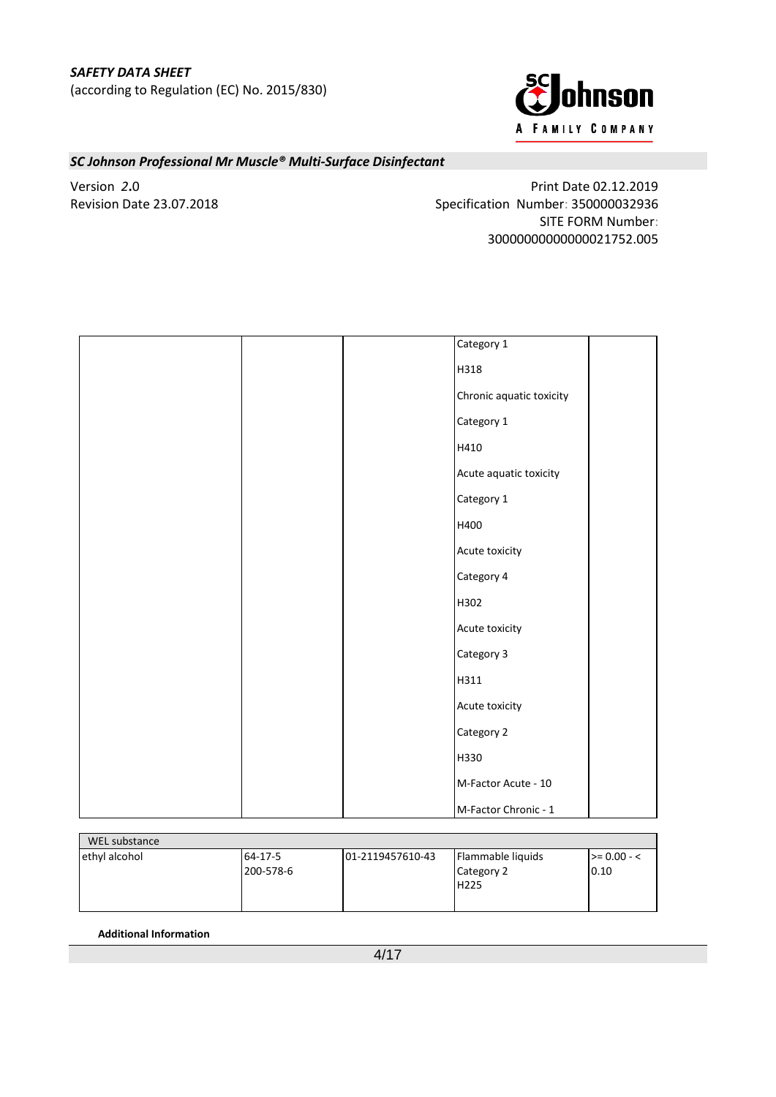

Version *2***.**0 Print Date 02.12.2019 Revision Date 23.07.2018 Specification Number: 350000032936 SITE FORM Number: 30000000000000021752.005

| Category 1               |
|--------------------------|
| H318                     |
| Chronic aquatic toxicity |
| Category 1               |
| H410                     |
| Acute aquatic toxicity   |
| Category 1               |
| H400                     |
| Acute toxicity           |
| Category 4               |
| H302                     |
| Acute toxicity           |
| Category 3               |
| H311                     |
| Acute toxicity           |
| Category 2               |
| H330                     |
| M-Factor Acute - 10      |
| M-Factor Chronic - 1     |

| WEL substance |           |                  |                   |                  |
|---------------|-----------|------------------|-------------------|------------------|
| ethyl alcohol | 64-17-5   | 01-2119457610-43 | Flammable liquids | $\ge$ = 0.00 - < |
|               | 200-578-6 |                  | Category 2        | 0.10             |
|               |           |                  | H225              |                  |
|               |           |                  |                   |                  |
|               |           |                  |                   |                  |

**Additional Information**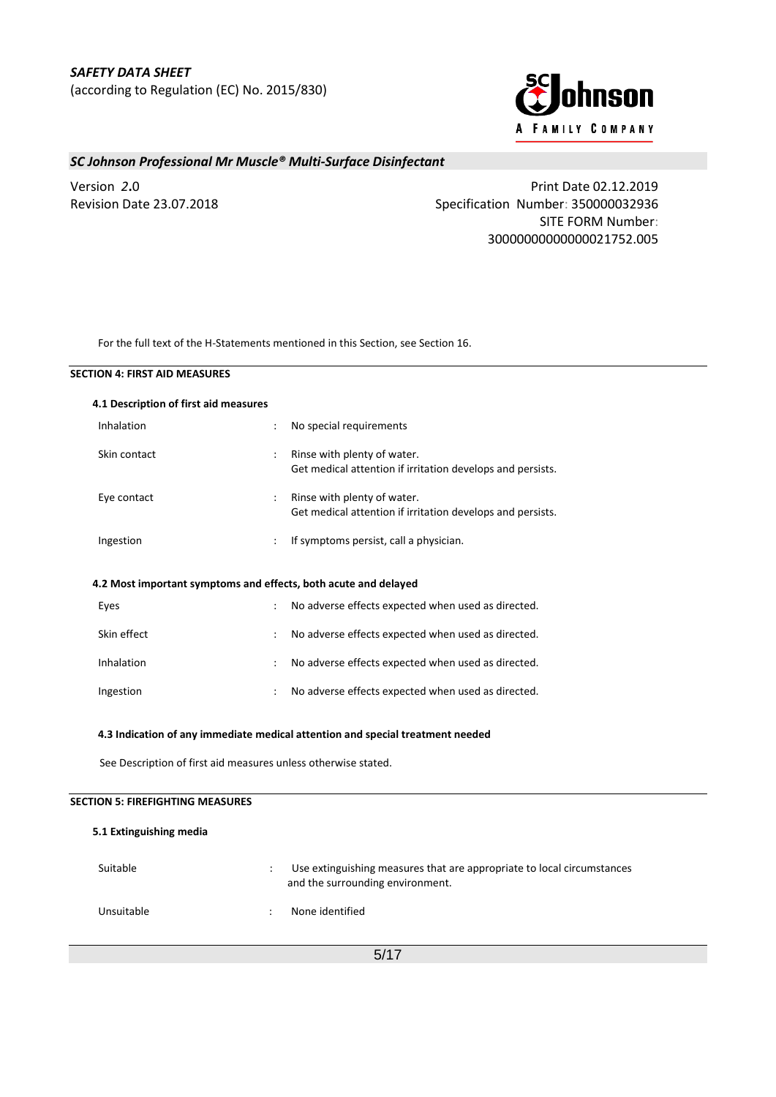

Version *2***.**0 Print Date 02.12.2019 Revision Date 23.07.2018 Specification Number: 350000032936 SITE FORM Number: 30000000000000021752.005

For the full text of the H-Statements mentioned in this Section, see Section 16.

| 4.1 Description of first aid measures |                                                                 |                                                                                           |
|---------------------------------------|-----------------------------------------------------------------|-------------------------------------------------------------------------------------------|
| Inhalation                            | $\ddot{\phantom{a}}$                                            | No special requirements                                                                   |
| Skin contact                          | $\ddot{\cdot}$                                                  | Rinse with plenty of water.<br>Get medical attention if irritation develops and persists. |
| Eye contact                           | ÷                                                               | Rinse with plenty of water.<br>Get medical attention if irritation develops and persists. |
| Ingestion                             |                                                                 | If symptoms persist, call a physician.                                                    |
|                                       | 4.2 Most important symptoms and effects, both acute and delayed |                                                                                           |
| Eyes                                  |                                                                 | No adverse effects expected when used as directed.                                        |
| Skin effect                           |                                                                 | No adverse effects expected when used as directed.                                        |
| Inhalation                            |                                                                 | No adverse effects expected when used as directed.                                        |
| Ingestion                             |                                                                 | No adverse effects expected when used as directed.                                        |
|                                       |                                                                 | 4.3 Indication of any immediate medical attention and special treatment needed            |
|                                       | See Description of first aid measures unless otherwise stated.  |                                                                                           |
|                                       |                                                                 |                                                                                           |

## **5.1 Extinguishing media**

| Suitable   | Use extinguishing measures that are appropriate to local circumstances<br>and the surrounding environment. |
|------------|------------------------------------------------------------------------------------------------------------|
| Unsuitable | None identified                                                                                            |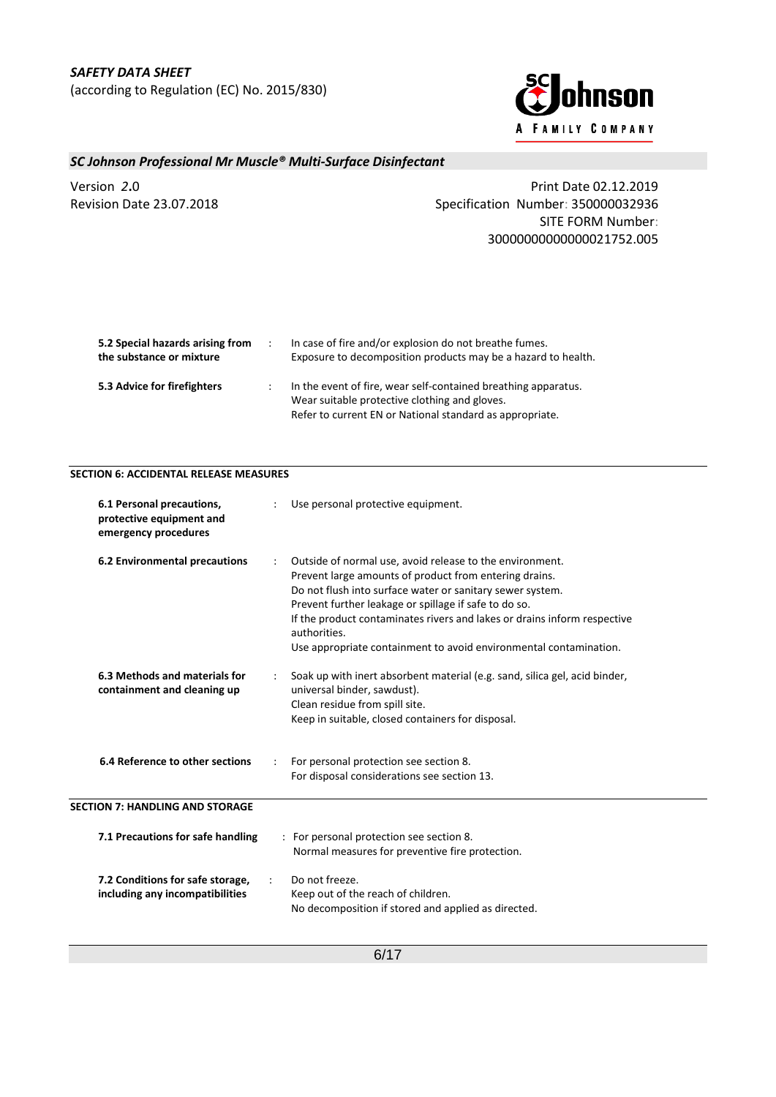

Version *2***.**0 Print Date 02.12.2019 Revision Date 23.07.2018 Specification Number: 350000032936 SITE FORM Number: 30000000000000021752.005

| 5.2 Special hazards arising from<br>the substance or mixture | In case of fire and/or explosion do not breathe fumes.<br>Exposure to decomposition products may be a hazard to health.                                                     |
|--------------------------------------------------------------|-----------------------------------------------------------------------------------------------------------------------------------------------------------------------------|
| 5.3 Advice for firefighters                                  | In the event of fire, wear self-contained breathing apparatus.<br>Wear suitable protective clothing and gloves.<br>Refer to current EN or National standard as appropriate. |

## **SECTION 6: ACCIDENTAL RELEASE MEASURES**

| 6.1 Personal precautions,<br>protective equipment and<br>emergency procedures | Use personal protective equipment.                                                                                                                                                                                                                                                                                                                                                                        |
|-------------------------------------------------------------------------------|-----------------------------------------------------------------------------------------------------------------------------------------------------------------------------------------------------------------------------------------------------------------------------------------------------------------------------------------------------------------------------------------------------------|
| 6.2 Environmental precautions                                                 | Outside of normal use, avoid release to the environment.<br>Prevent large amounts of product from entering drains.<br>Do not flush into surface water or sanitary sewer system.<br>Prevent further leakage or spillage if safe to do so.<br>If the product contaminates rivers and lakes or drains inform respective<br>authorities.<br>Use appropriate containment to avoid environmental contamination. |
| 6.3 Methods and materials for<br>containment and cleaning up                  | Soak up with inert absorbent material (e.g. sand, silica gel, acid binder,<br>universal binder, sawdust).<br>Clean residue from spill site.<br>Keep in suitable, closed containers for disposal.                                                                                                                                                                                                          |
| 6.4 Reference to other sections                                               | For personal protection see section 8.<br>For disposal considerations see section 13.                                                                                                                                                                                                                                                                                                                     |
| <b>SECTION 7: HANDLING AND STORAGE</b>                                        |                                                                                                                                                                                                                                                                                                                                                                                                           |
| 7.1 Precautions for safe handling                                             | : For personal protection see section 8.<br>Normal measures for preventive fire protection.                                                                                                                                                                                                                                                                                                               |
| 7.2 Conditions for safe storage,<br>including any incompatibilities           | Do not freeze.<br>Keep out of the reach of children.<br>No decomposition if stored and applied as directed.                                                                                                                                                                                                                                                                                               |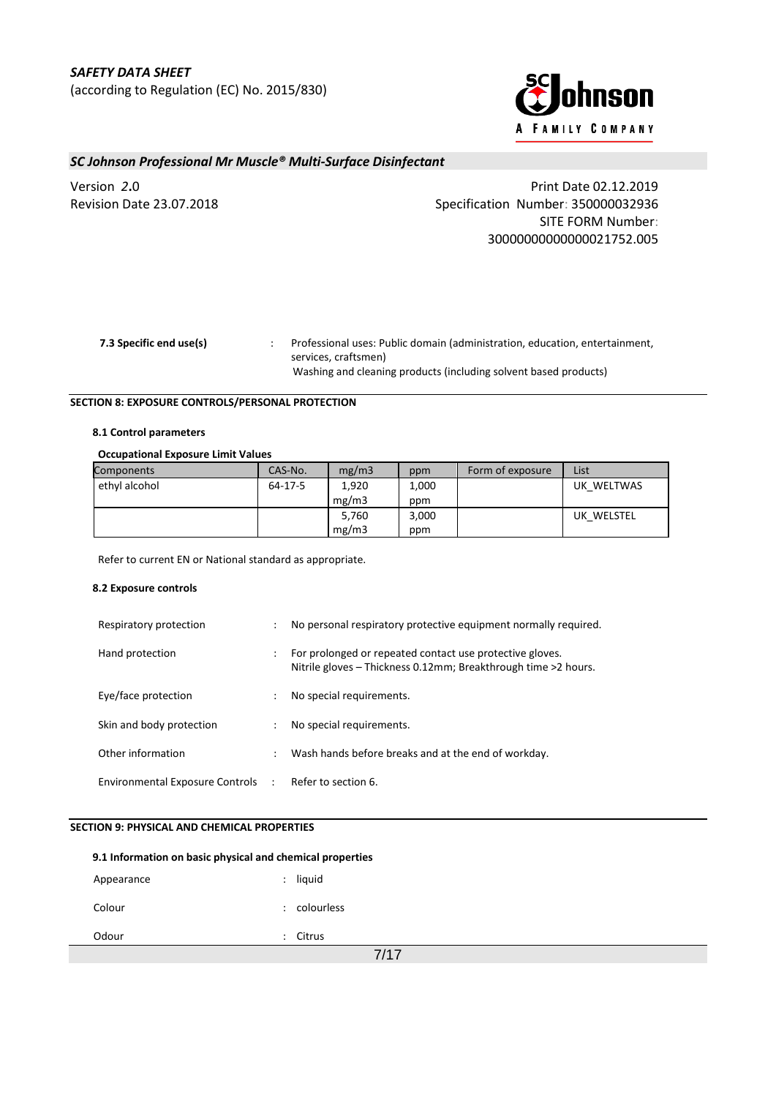

Version *2***.**0 Print Date 02.12.2019 Revision Date 23.07.2018 Specification Number: 350000032936 SITE FORM Number: 30000000000000021752.005

| 7.3 Specific end use(s) | Professional uses: Public domain (administration, education, entertainment, |
|-------------------------|-----------------------------------------------------------------------------|
|                         | services. craftsmen)                                                        |
|                         | Washing and cleaning products (including solvent based products)            |

### **SECTION 8: EXPOSURE CONTROLS/PERSONAL PROTECTION**

### **8.1 Control parameters**

### **Occupational Exposure Limit Values**

| Components    | CAS-No. | mg/m3 | ppm   | Form of exposure | List       |
|---------------|---------|-------|-------|------------------|------------|
| ethyl alcohol | 64-17-5 | 1,920 | 1,000 |                  | UK WELTWAS |
|               |         | mg/m3 | ppm   |                  |            |
|               |         | 5,760 | 3,000 |                  | UK WELSTEL |
|               |         | mg/m3 | ppm   |                  |            |

Refer to current EN or National standard as appropriate.

#### **8.2 Exposure controls**

| Respiratory protection            | ÷                    | No personal respiratory protective equipment normally required.                                                            |
|-----------------------------------|----------------------|----------------------------------------------------------------------------------------------------------------------------|
| Hand protection                   | ÷                    | For prolonged or repeated contact use protective gloves.<br>Nitrile gloves - Thickness 0.12mm; Breakthrough time >2 hours. |
| Eye/face protection               | ٠                    | No special requirements.                                                                                                   |
| Skin and body protection          |                      | No special requirements.                                                                                                   |
| Other information                 | $\ddot{\phantom{a}}$ | Wash hands before breaks and at the end of workday.                                                                        |
| Environmental Exposure Controls : |                      | Refer to section 6.                                                                                                        |

### **SECTION 9: PHYSICAL AND CHEMICAL PROPERTIES**

| 9.1 Information on basic physical and chemical properties |                      |            |  |  |
|-----------------------------------------------------------|----------------------|------------|--|--|
| Appearance                                                | ÷                    | liquid     |  |  |
| Colour                                                    | ٠                    | colourless |  |  |
| Odour                                                     | $\ddot{\phantom{a}}$ | Citrus     |  |  |
| 7/17                                                      |                      |            |  |  |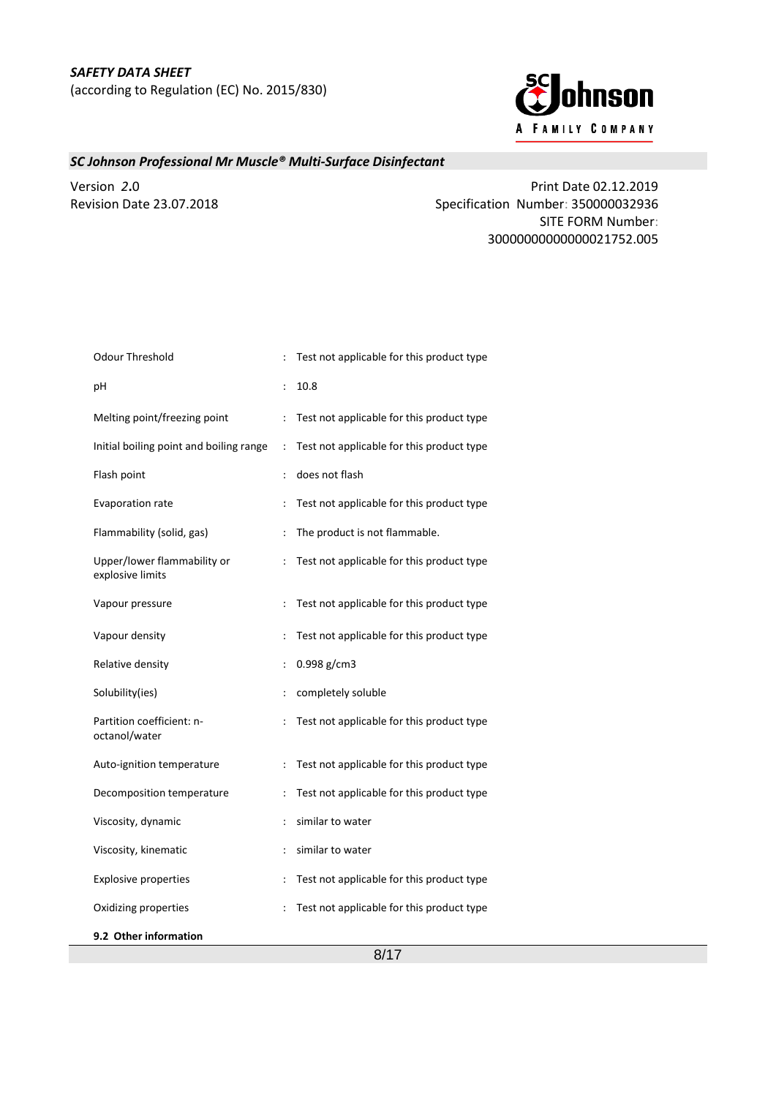

Version *2***.**0 Print Date 02.12.2019 Revision Date 23.07.2018 Specification Number: 350000032936 SITE FORM Number: 30000000000000021752.005

| Odour Threshold                                 | ÷                    | Test not applicable for this product type |
|-------------------------------------------------|----------------------|-------------------------------------------|
| pH                                              |                      | 10.8                                      |
| Melting point/freezing point                    | $\ddot{\phantom{a}}$ | Test not applicable for this product type |
| Initial boiling point and boiling range         | $\ddot{\cdot}$       | Test not applicable for this product type |
| Flash point                                     | $\ddot{\cdot}$       | does not flash                            |
| Evaporation rate                                | $\ddot{\phantom{a}}$ | Test not applicable for this product type |
| Flammability (solid, gas)                       | $\ddot{\cdot}$       | The product is not flammable.             |
| Upper/lower flammability or<br>explosive limits | $\ddot{\cdot}$       | Test not applicable for this product type |
| Vapour pressure                                 | $\ddot{\cdot}$       | Test not applicable for this product type |
| Vapour density                                  | ÷                    | Test not applicable for this product type |
| Relative density                                | $\ddot{\cdot}$       | 0.998 g/cm3                               |
| Solubility(ies)                                 | $\ddot{\cdot}$       | completely soluble                        |
| Partition coefficient: n-<br>octanol/water      | $\ddot{\cdot}$       | Test not applicable for this product type |
| Auto-ignition temperature                       |                      | Test not applicable for this product type |
| Decomposition temperature                       | $\ddot{\cdot}$       | Test not applicable for this product type |
| Viscosity, dynamic                              | $\ddot{\cdot}$       | similar to water                          |
| Viscosity, kinematic                            | $\ddot{\phantom{a}}$ | similar to water                          |
| <b>Explosive properties</b>                     | $\ddot{\cdot}$       | Test not applicable for this product type |
| Oxidizing properties                            | $\ddot{\cdot}$       | Test not applicable for this product type |
| 9.2 Other information                           |                      |                                           |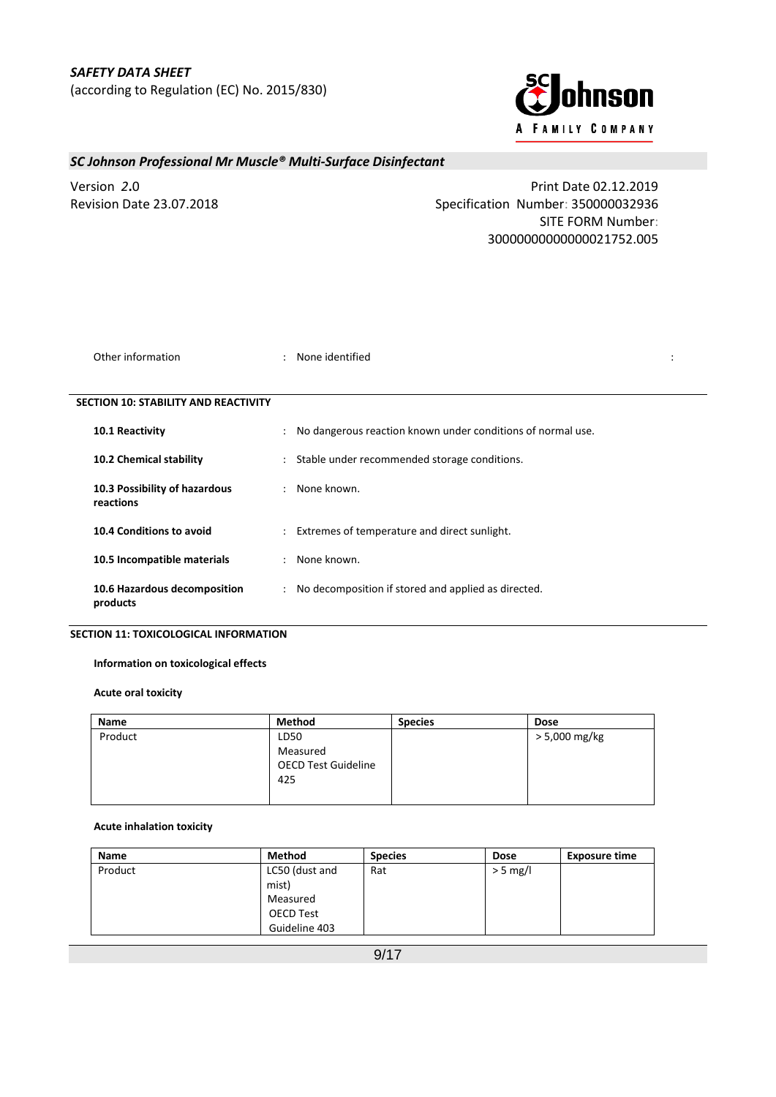

Version *2***.**0 Print Date 02.12.2019 Revision Date 23.07.2018 Specification Number: 350000032936 SITE FORM Number: 30000000000000021752.005

| Other information                           | ÷                         | None identified                                             |  |  |  |  |  |
|---------------------------------------------|---------------------------|-------------------------------------------------------------|--|--|--|--|--|
| <b>SECTION 10: STABILITY AND REACTIVITY</b> |                           |                                                             |  |  |  |  |  |
| 10.1 Reactivity                             | ÷                         | No dangerous reaction known under conditions of normal use. |  |  |  |  |  |
| 10.2 Chemical stability                     | $\ddot{\phantom{0}}$      | Stable under recommended storage conditions.                |  |  |  |  |  |
| 10.3 Possibility of hazardous<br>reactions  | $\mathbb{R}^{\mathbb{Z}}$ | None known.                                                 |  |  |  |  |  |
| 10.4 Conditions to avoid                    | $\mathbf{r}$              | Extremes of temperature and direct sunlight.                |  |  |  |  |  |
| 10.5 Incompatible materials                 | ÷                         | None known.                                                 |  |  |  |  |  |
| 10.6 Hazardous decomposition<br>products    | $\ddot{\phantom{0}}$      | No decomposition if stored and applied as directed.         |  |  |  |  |  |

## **SECTION 11: TOXICOLOGICAL INFORMATION**

## **Information on toxicological effects**

## **Acute oral toxicity**

| <b>Name</b> | Method                                        | <b>Species</b> | <b>Dose</b>   |
|-------------|-----------------------------------------------|----------------|---------------|
| Product     | LD50                                          |                | > 5,000 mg/kg |
|             | Measured<br><b>OECD Test Guideline</b><br>425 |                |               |
|             |                                               |                |               |

### **Acute inhalation toxicity**

| Name    | <b>Method</b>  | <b>Species</b> | <b>Dose</b> | <b>Exposure time</b> |
|---------|----------------|----------------|-------------|----------------------|
| Product | LC50 (dust and | Rat            | $>$ 5 mg/l  |                      |
|         | mist)          |                |             |                      |
|         | Measured       |                |             |                      |
|         | OECD Test      |                |             |                      |
|         | Guideline 403  |                |             |                      |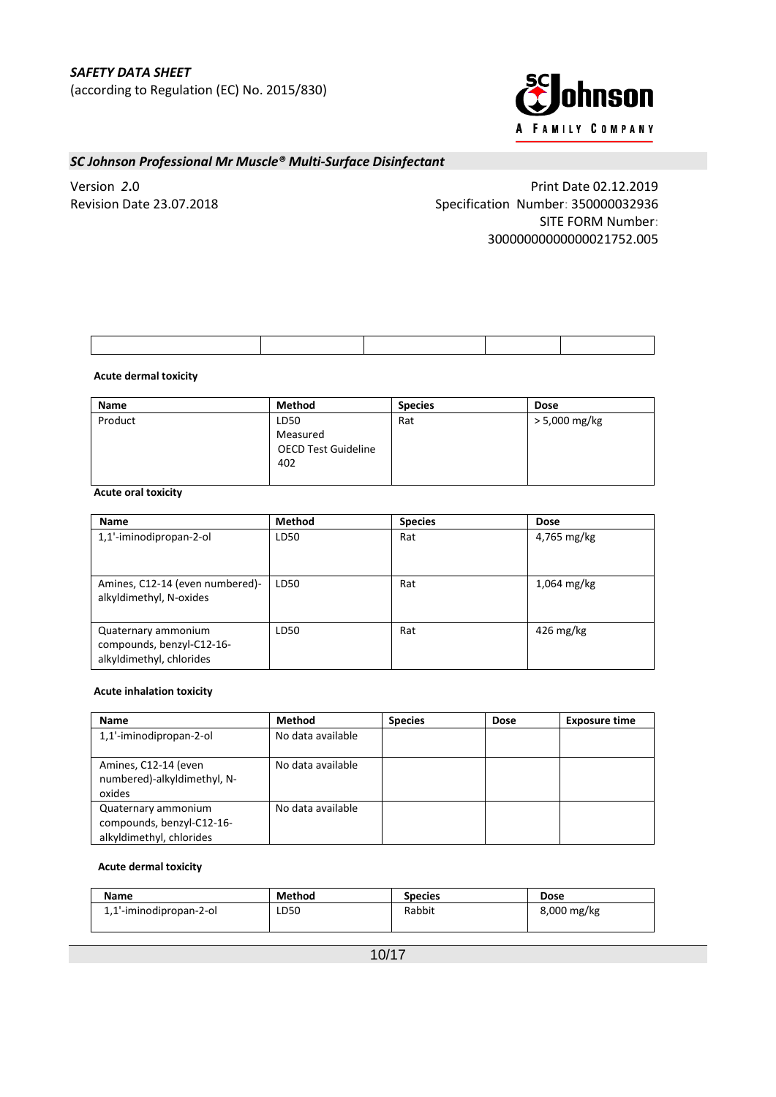

Version *2***.**0 Print Date 02.12.2019 Revision Date 23.07.2018 Specification Number: 350000032936 SITE FORM Number: 30000000000000021752.005

### **Acute dermal toxicity**

| <b>Name</b> | <b>Method</b>              | <b>Species</b> | <b>Dose</b>   |
|-------------|----------------------------|----------------|---------------|
| Product     | LD50                       | Rat            | > 5,000 mg/kg |
|             | Measured                   |                |               |
|             | <b>OECD Test Guideline</b> |                |               |
|             | 402                        |                |               |
|             |                            |                |               |

## **Acute oral toxicity**

| <b>Name</b>                                                                  | Method | <b>Species</b> | <b>Dose</b>            |
|------------------------------------------------------------------------------|--------|----------------|------------------------|
| 1,1'-iminodipropan-2-ol                                                      | LD50   | Rat            | 4,765 mg/kg            |
| Amines, C12-14 (even numbered)-<br>alkyldimethyl, N-oxides                   | LD50   | Rat            | $1,064$ mg/kg          |
| Quaternary ammonium<br>compounds, benzyl-C12-16-<br>alkyldimethyl, chlorides | LD50   | Rat            | $426 \,\mathrm{mg/kg}$ |

### **Acute inhalation toxicity**

| Name                                                                         | <b>Method</b>     | <b>Species</b> | <b>Dose</b> | <b>Exposure time</b> |
|------------------------------------------------------------------------------|-------------------|----------------|-------------|----------------------|
| 1,1'-iminodipropan-2-ol                                                      | No data available |                |             |                      |
| Amines, C12-14 (even<br>numbered)-alkyldimethyl, N-<br>oxides                | No data available |                |             |                      |
| Quaternary ammonium<br>compounds, benzyl-C12-16-<br>alkyldimethyl, chlorides | No data available |                |             |                      |

#### **Acute dermal toxicity**

| <b>Name</b>             | <b>Method</b> | <b>Species</b> | <b>Dose</b> |
|-------------------------|---------------|----------------|-------------|
| 1,1'-iminodipropan-2-ol | LD50          | Rabbit         | 8,000 mg/kg |
|                         |               |                |             |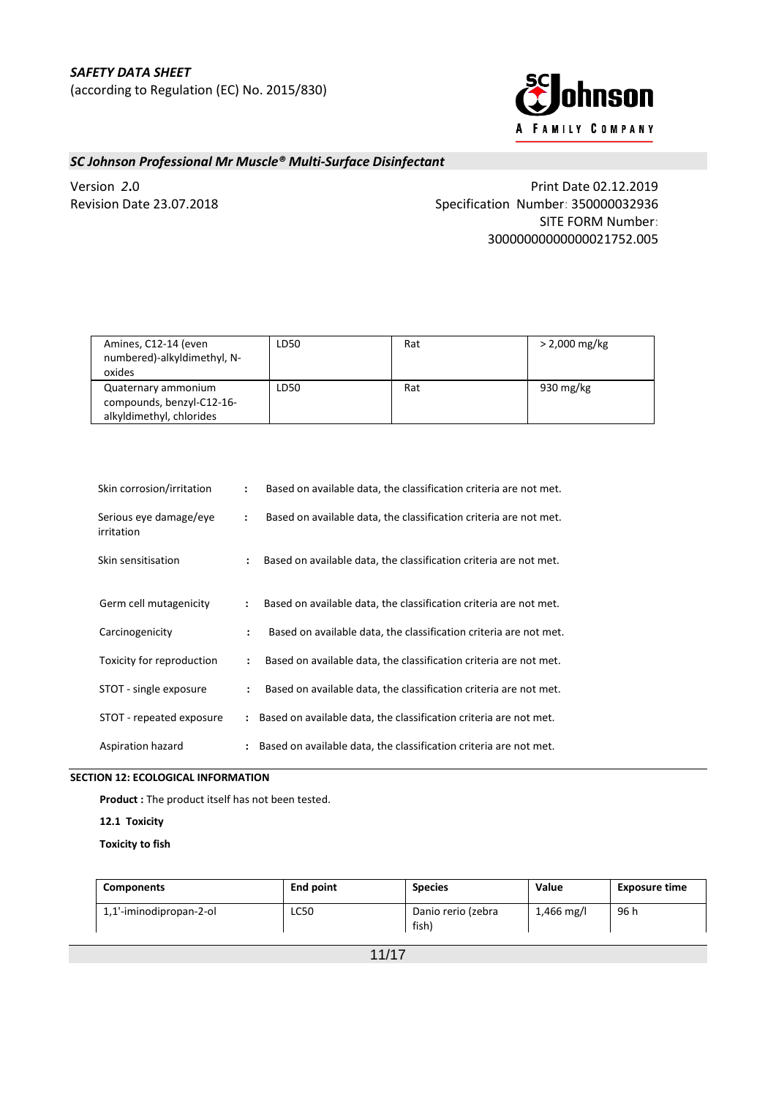

Version *2***.**0 Print Date 02.12.2019 Revision Date 23.07.2018 Specification Number: 350000032936 SITE FORM Number: 30000000000000021752.005

| Amines, C12-14 (even<br>numbered)-alkyldimethyl, N-<br>oxides                | LD50 | Rat | $> 2,000$ mg/kg |
|------------------------------------------------------------------------------|------|-----|-----------------|
| Quaternary ammonium<br>compounds, benzyl-C12-16-<br>alkyldimethyl, chlorides | LD50 | Rat | 930 mg/kg       |

| Skin corrosion/irritation            | $\ddot{\phantom{a}}$ | Based on available data, the classification criteria are not met. |
|--------------------------------------|----------------------|-------------------------------------------------------------------|
| Serious eye damage/eye<br>irritation | $\ddot{\phantom{a}}$ | Based on available data, the classification criteria are not met. |
| Skin sensitisation                   | $\ddot{\cdot}$       | Based on available data, the classification criteria are not met. |
| Germ cell mutagenicity               | $\ddot{\cdot}$       | Based on available data, the classification criteria are not met. |
| Carcinogenicity                      | $\ddot{\phantom{a}}$ | Based on available data, the classification criteria are not met. |
| Toxicity for reproduction            | $\ddot{\phantom{a}}$ | Based on available data, the classification criteria are not met. |
| STOT - single exposure               | $\ddot{\cdot}$       | Based on available data, the classification criteria are not met. |
| STOT - repeated exposure             |                      | Based on available data, the classification criteria are not met. |
| Aspiration hazard                    | $\ddot{\phantom{a}}$ | Based on available data, the classification criteria are not met. |

## **SECTION 12: ECOLOGICAL INFORMATION**

**Product :** The product itself has not been tested.

**12.1****Toxicity**

**Toxicity to fish**

| <b>Components</b>       | End point | <b>Species</b>              | Value      | <b>Exposure time</b> |
|-------------------------|-----------|-----------------------------|------------|----------------------|
| 1,1'-iminodipropan-2-ol | LC50      | Danio rerio (zebra<br>fish) | 1,466 mg/l | 96 h                 |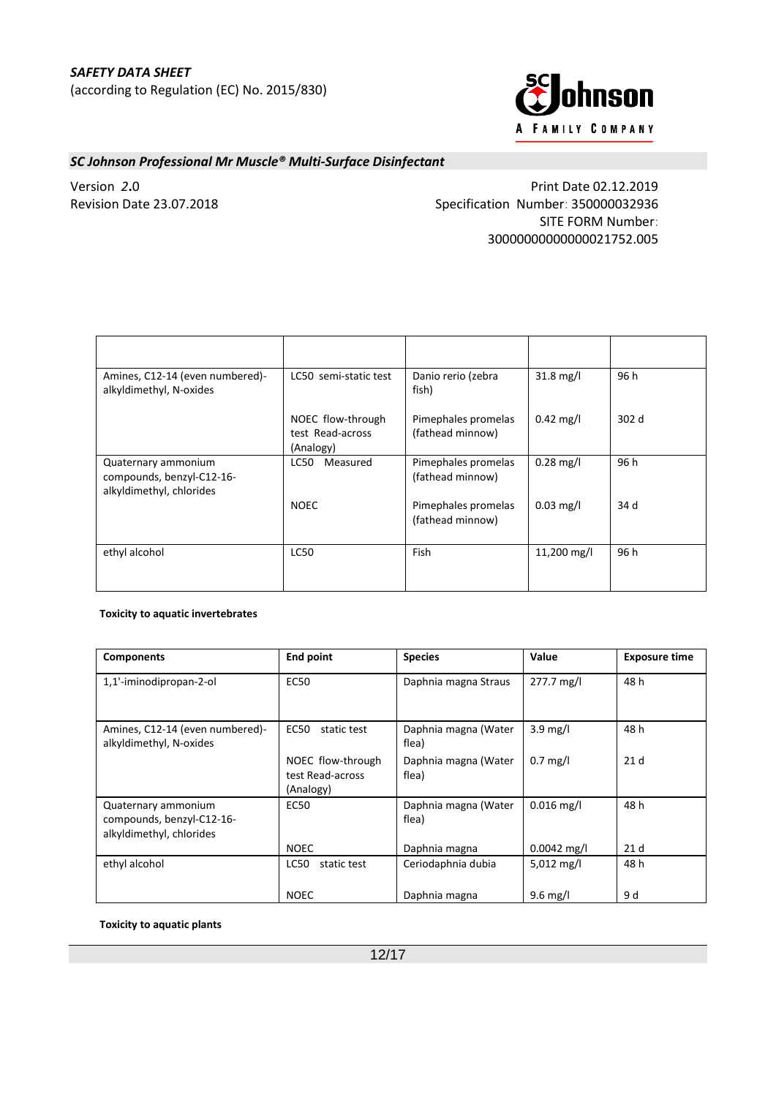

Version *2***.**0 Print Date 02.12.2019 Revision Date 23.07.2018 Specification Number: 350000032936 SITE FORM Number: 30000000000000021752.005

| Amines, C12-14 (even numbered)-<br>alkyldimethyl, N-oxides                   | LC50 semi-static test                              | Danio rerio (zebra<br>fish)             | $31.8 \text{ mg/l}$ | 96 h  |
|------------------------------------------------------------------------------|----------------------------------------------------|-----------------------------------------|---------------------|-------|
|                                                                              | NOEC flow-through<br>test Read-across<br>(Analogy) | Pimephales promelas<br>(fathead minnow) | $0.42 \text{ mg/l}$ | 302 d |
| Quaternary ammonium<br>compounds, benzyl-C12-16-<br>alkyldimethyl, chlorides | LC50<br>Measured                                   | Pimephales promelas<br>(fathead minnow) | $0.28$ mg/l         | 96 h  |
|                                                                              | <b>NOEC</b>                                        | Pimephales promelas<br>(fathead minnow) | $0.03$ mg/l         | 34 d  |
| ethyl alcohol                                                                | <b>LC50</b>                                        | Fish                                    | 11,200 mg/l         | 96 h  |

### **Toxicity to aquatic invertebrates**

| <b>Components</b>                                                            | <b>End point</b>                                   | <b>Species</b>                | Value                | <b>Exposure time</b> |
|------------------------------------------------------------------------------|----------------------------------------------------|-------------------------------|----------------------|----------------------|
| 1,1'-iminodipropan-2-ol                                                      | <b>EC50</b>                                        | Daphnia magna Straus          | 277.7 mg/l           | 48 h                 |
| Amines, C12-14 (even numbered)-<br>alkyldimethyl, N-oxides                   | <b>EC50</b><br>static test                         | Daphnia magna (Water<br>flea) | $3.9$ mg/l           | 48 h                 |
|                                                                              | NOEC flow-through<br>test Read-across<br>(Analogy) | Daphnia magna (Water<br>flea) | $0.7$ mg/l           | 21 <sub>d</sub>      |
| Quaternary ammonium<br>compounds, benzyl-C12-16-<br>alkyldimethyl, chlorides | <b>EC50</b>                                        | Daphnia magna (Water<br>flea) | $0.016$ mg/l         | 48 h                 |
|                                                                              | <b>NOEC</b>                                        | Daphnia magna                 | $0.0042$ mg/l        | 21 <sub>d</sub>      |
| ethyl alcohol                                                                | LC50<br>static test                                | Ceriodaphnia dubia            | $5,012 \text{ mg/l}$ | 48 h                 |
|                                                                              | <b>NOEC</b>                                        | Daphnia magna                 | $9.6$ mg/l           | 9 d                  |

**Toxicity to aquatic plants**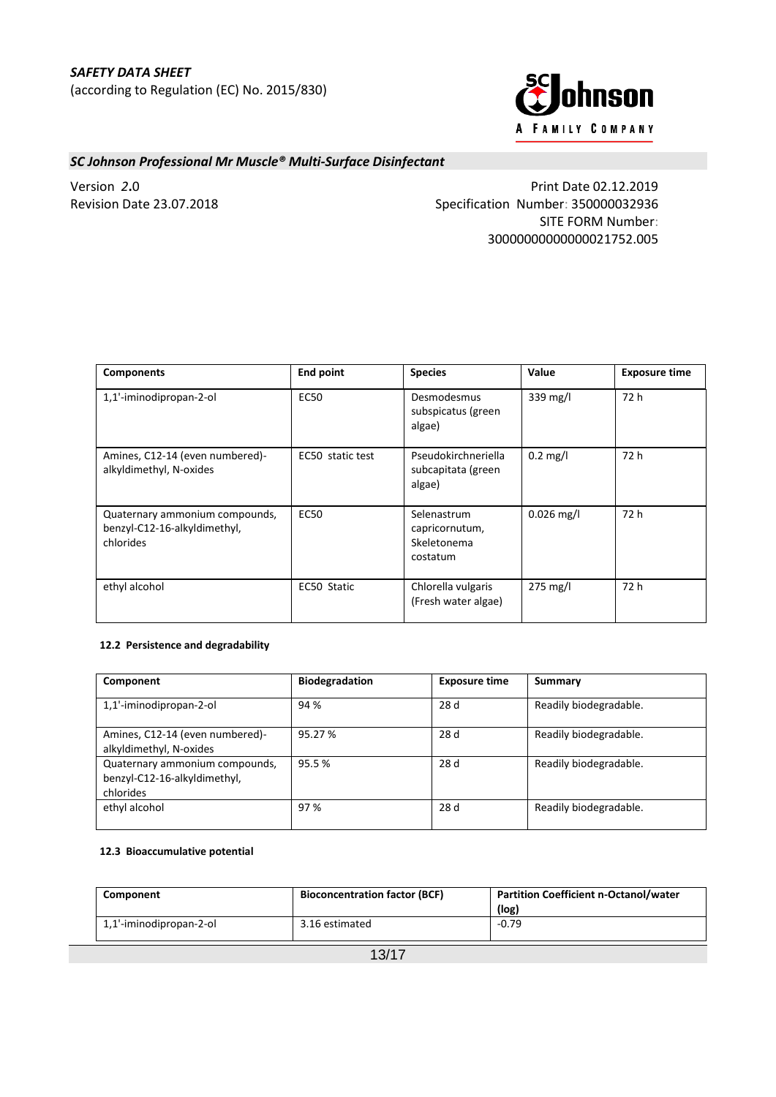

Version *2***.**0 Print Date 02.12.2019 Revision Date 23.07.2018 Specification Number: 350000032936 SITE FORM Number: 30000000000000021752.005

| <b>Components</b>                                                           | <b>End point</b> | <b>Species</b>                                           | Value              | <b>Exposure time</b> |
|-----------------------------------------------------------------------------|------------------|----------------------------------------------------------|--------------------|----------------------|
| 1,1'-iminodipropan-2-ol                                                     | <b>EC50</b>      | Desmodesmus<br>subspicatus (green<br>algae)              | 339 mg/l           | 72 h                 |
| Amines, C12-14 (even numbered)-<br>alkyldimethyl, N-oxides                  | EC50 static test | Pseudokirchneriella<br>subcapitata (green<br>algae)      | $0.2 \text{ mg/l}$ | 72 h                 |
| Quaternary ammonium compounds,<br>benzyl-C12-16-alkyldimethyl,<br>chlorides | <b>EC50</b>      | Selenastrum<br>capricornutum,<br>Skeletonema<br>costatum | $0.026$ mg/l       | 72 h                 |
| ethyl alcohol                                                               | EC50 Static      | Chlorella vulgaris<br>(Fresh water algae)                | $275 \text{ mg/l}$ | 72 h                 |

## **12.2****Persistence and degradability**

| Component                                                                   | <b>Biodegradation</b> | <b>Exposure time</b> | Summary                |
|-----------------------------------------------------------------------------|-----------------------|----------------------|------------------------|
| 1,1'-iminodipropan-2-ol                                                     | 94 %                  | 28 d                 | Readily biodegradable. |
| Amines, C12-14 (even numbered)-<br>alkyldimethyl, N-oxides                  | 95.27%                | 28 d                 | Readily biodegradable. |
| Quaternary ammonium compounds,<br>benzyl-C12-16-alkyldimethyl,<br>chlorides | 95.5%                 | 28 d                 | Readily biodegradable. |
| ethyl alcohol                                                               | 97 %                  | 28 d                 | Readily biodegradable. |

### **12.3****Bioaccumulative potential**

| Component                         | <b>Bioconcentration factor (BCF)</b> | <b>Partition Coefficient n-Octanol/water</b><br>(log) |
|-----------------------------------|--------------------------------------|-------------------------------------------------------|
| 1,1'-iminodipropan-2-ol           | 3.16 estimated                       | $-0.79$                                               |
| $\lambda$ $\sim$ $\lambda$ $\sim$ |                                      |                                                       |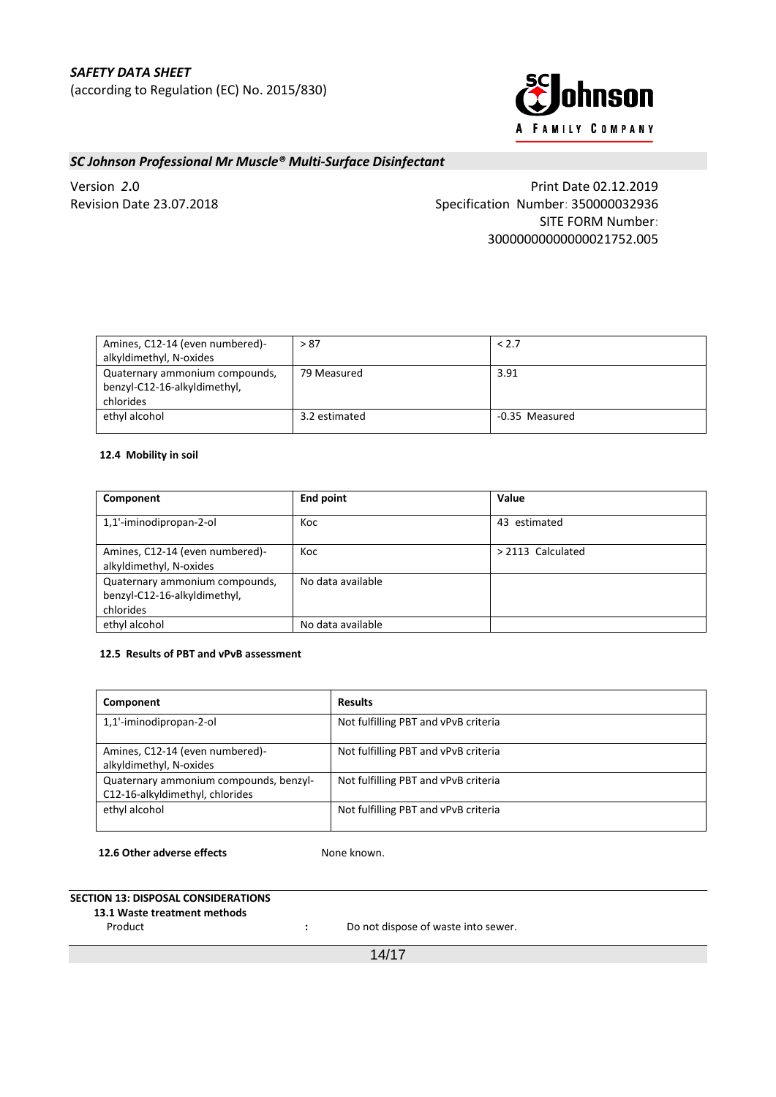

Version *2***.**0 Print Date 02.12.2019 Revision Date 23.07.2018 Specification Number: 350000032936 SITE FORM Number: 30000000000000021752.005

| Amines, C12-14 (even numbered)- | > 87          | < 2.7          |
|---------------------------------|---------------|----------------|
| alkyldimethyl, N-oxides         |               |                |
| Quaternary ammonium compounds,  | 79 Measured   | 3.91           |
| benzyl-C12-16-alkyldimethyl,    |               |                |
| chlorides                       |               |                |
| ethyl alcohol                   | 3.2 estimated | -0.35 Measured |
|                                 |               |                |

## **12.4****Mobility in soil**

| Component                                                                   | End point         | Value             |
|-----------------------------------------------------------------------------|-------------------|-------------------|
| 1,1'-iminodipropan-2-ol                                                     | Koc               | 43 estimated      |
| Amines, C12-14 (even numbered)-<br>alkyldimethyl, N-oxides                  | Koc               | > 2113 Calculated |
| Quaternary ammonium compounds,<br>benzyl-C12-16-alkyldimethyl,<br>chlorides | No data available |                   |
| ethyl alcohol                                                               | No data available |                   |

#### **12.5****Results of PBT and vPvB assessment**

| Component                                                                 | <b>Results</b>                       |
|---------------------------------------------------------------------------|--------------------------------------|
| 1,1'-iminodipropan-2-ol                                                   | Not fulfilling PBT and vPvB criteria |
| Amines, C12-14 (even numbered)-<br>alkyldimethyl, N-oxides                | Not fulfilling PBT and vPvB criteria |
| Quaternary ammonium compounds, benzyl-<br>C12-16-alkyldimethyl, chlorides | Not fulfilling PBT and vPvB criteria |
| ethyl alcohol                                                             | Not fulfilling PBT and vPvB criteria |

**12.6 Other adverse effects :** None known.

## **SECTION 13: DISPOSAL CONSIDERATIONS**

**13.1 Waste treatment methods**

Product **Product :** Do not dispose of waste into sewer.

14/17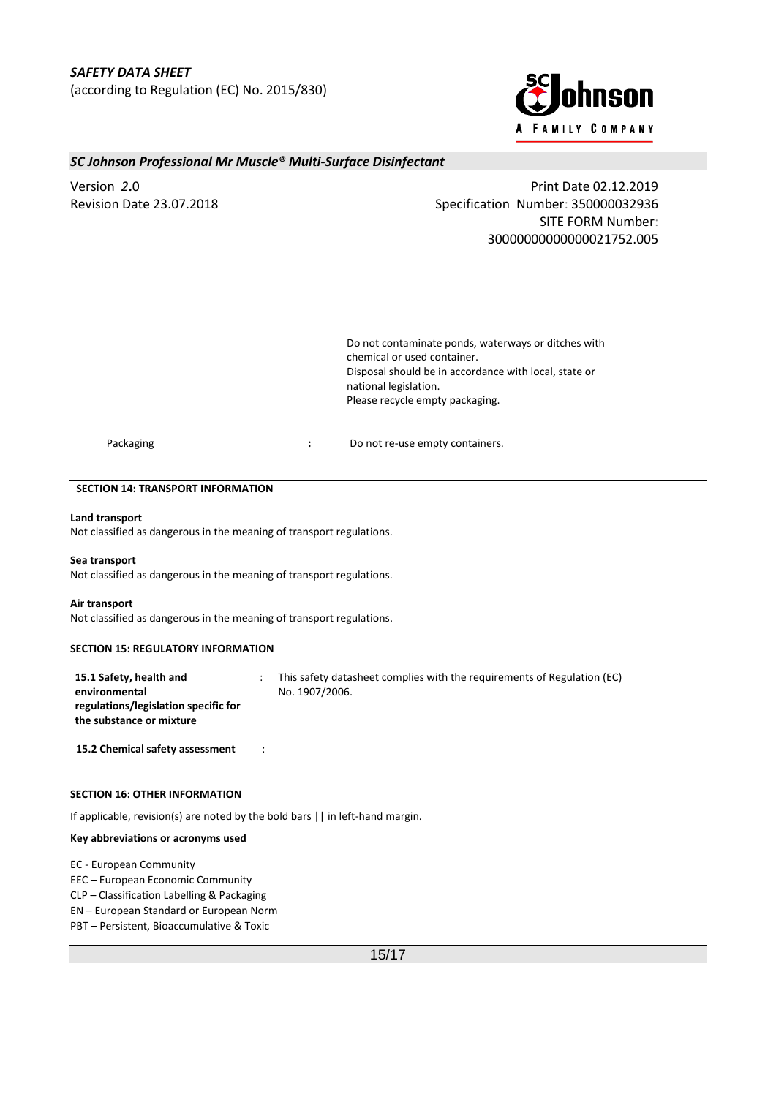

Version *2***.**0 Print Date 02.12.2019 Revision Date 23.07.2018 Specification Number: 350000032936 SITE FORM Number: 30000000000000021752.005

> Do not contaminate ponds, waterways or ditches with chemical or used container. Disposal should be in accordance with local, state or national legislation. Please recycle empty packaging.

Packaging **Packaging <b>State of Accord**  $\cdot$  Do not re-use empty containers.

### **SECTION 14: TRANSPORT INFORMATION**

#### **Land transport**

Not classified as dangerous in the meaning of transport regulations.

**Sea transport**

Not classified as dangerous in the meaning of transport regulations.

#### **Air transport**

Not classified as dangerous in the meaning of transport regulations.

## **SECTION 15: REGULATORY INFORMATION**

**15.1 Safety, health and environmental regulations/legislation specific for the substance or mixture**

: This safety datasheet complies with the requirements of Regulation (EC) No. 1907/2006.

**15.2 Chemical safety assessment** :

### **SECTION 16: OTHER INFORMATION**

If applicable, revision(s) are noted by the bold bars || in left-hand margin.

#### **Key abbreviations or acronyms used**

EC - European Community

EEC – European Economic Community

CLP – Classification Labelling & Packaging

EN – European Standard or European Norm

PBT – Persistent, Bioaccumulative & Toxic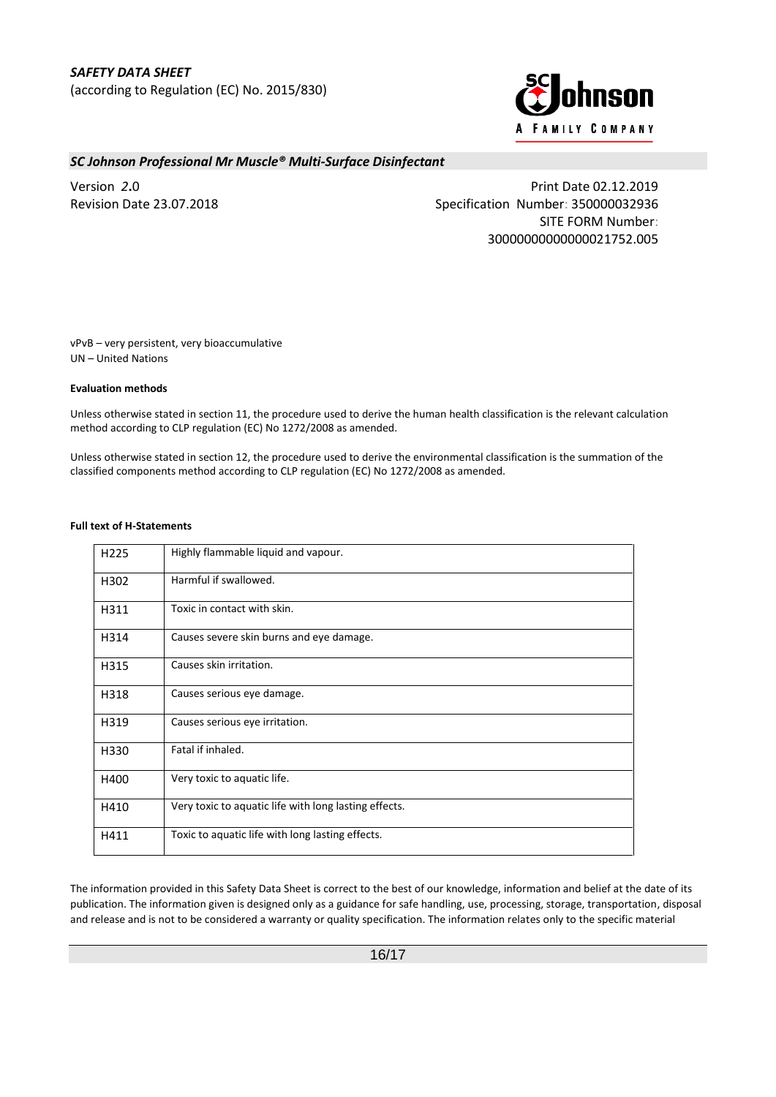

Version *2***.**0 Print Date 02.12.2019 Revision Date 23.07.2018 Specification Number: 350000032936 SITE FORM Number: 30000000000000021752.005

vPvB – very persistent, very bioaccumulative UN – United Nations

### **Evaluation methods**

Unless otherwise stated in section 11, the procedure used to derive the human health classification is the relevant calculation method according to CLP regulation (EC) No 1272/2008 as amended.

Unless otherwise stated in section 12, the procedure used to derive the environmental classification is the summation of the classified components method according to CLP regulation (EC) No 1272/2008 as amended.

### **Full text of H-Statements**

| H <sub>225</sub> | Highly flammable liquid and vapour.                   |
|------------------|-------------------------------------------------------|
| H302             | Harmful if swallowed.                                 |
| H311             | Toxic in contact with skin.                           |
| H314             | Causes severe skin burns and eye damage.              |
| H315             | Causes skin irritation.                               |
| H318             | Causes serious eye damage.                            |
| H319             | Causes serious eye irritation.                        |
| H330             | Fatal if inhaled.                                     |
| H400             | Very toxic to aquatic life.                           |
| H410             | Very toxic to aquatic life with long lasting effects. |
| H411             | Toxic to aquatic life with long lasting effects.      |

The information provided in this Safety Data Sheet is correct to the best of our knowledge, information and belief at the date of its publication. The information given is designed only as a guidance for safe handling, use, processing, storage, transportation, disposal and release and is not to be considered a warranty or quality specification. The information relates only to the specific material